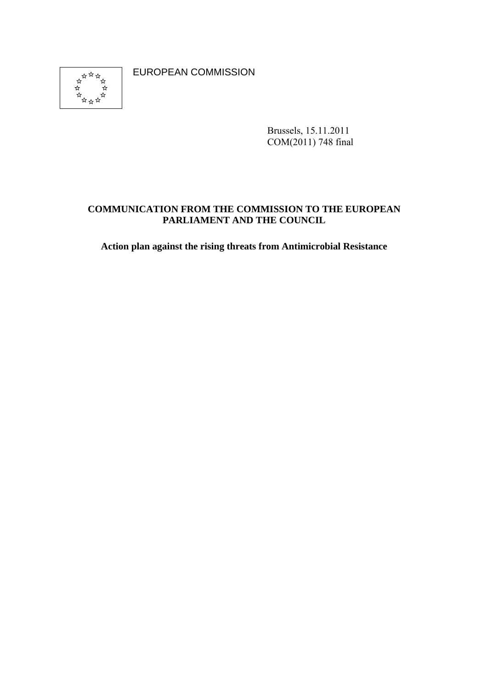\*\*\*\*\*<br>\*\*\*\*\*\*<br>\*\*\*\*\*\*  $\rightarrow$  EUROPEAN COMMISSION

Brussels, 15.11.2011 COM(2011) 748 final

### **COMMUNICATION FROM THE COMMISSION TO THE EUROPEAN PARLIAMENT AND THE COUNCIL**

**Action plan against the rising threats from Antimicrobial Resistance**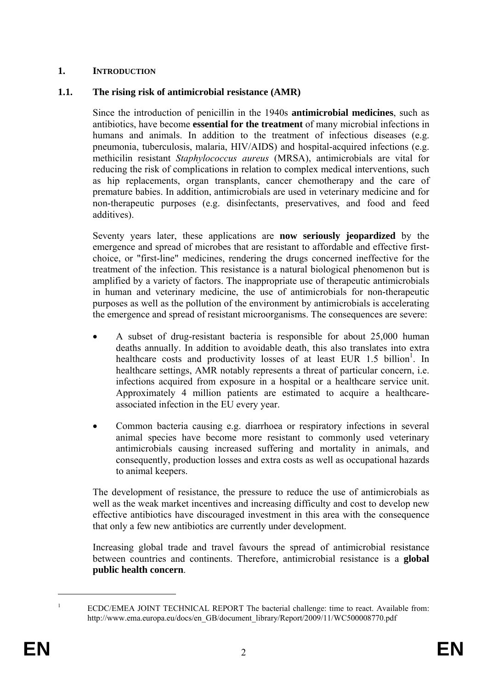### **1. INTRODUCTION**

### **1.1. The rising risk of antimicrobial resistance (AMR)**

Since the introduction of penicillin in the 1940s **antimicrobial medicines**, such as antibiotics, have become **essential for the treatment** of many microbial infections in humans and animals. In addition to the treatment of infectious diseases (e.g. pneumonia, tuberculosis, malaria, HIV/AIDS) and hospital-acquired infections (e.g. methicilin resistant *Staphylococcus aureus* (MRSA), antimicrobials are vital for reducing the risk of complications in relation to complex medical interventions, such as hip replacements, organ transplants, cancer chemotherapy and the care of premature babies. In addition, antimicrobials are used in veterinary medicine and for non-therapeutic purposes (e.g. disinfectants, preservatives, and food and feed additives).

Seventy years later, these applications are **now seriously jeopardized** by the emergence and spread of microbes that are resistant to affordable and effective firstchoice, or "first-line" medicines, rendering the drugs concerned ineffective for the treatment of the infection. This resistance is a natural biological phenomenon but is amplified by a variety of factors. The inappropriate use of therapeutic antimicrobials in human and veterinary medicine, the use of antimicrobials for non-therapeutic purposes as well as the pollution of the environment by antimicrobials is accelerating the emergence and spread of resistant microorganisms. The consequences are severe:

- A subset of drug-resistant bacteria is responsible for about 25,000 human deaths annually. In addition to avoidable death, this also translates into extra healthcare costs and productivity losses of at least EUR 1.5 billion<sup>1</sup>. In healthcare settings, AMR notably represents a threat of particular concern, i.e. infections acquired from exposure in a hospital or a healthcare service unit. Approximately 4 million patients are estimated to acquire a healthcareassociated infection in the EU every year.
- Common bacteria causing e.g. diarrhoea or respiratory infections in several animal species have become more resistant to commonly used veterinary antimicrobials causing increased suffering and mortality in animals, and consequently, production losses and extra costs as well as occupational hazards to animal keepers.

The development of resistance, the pressure to reduce the use of antimicrobials as well as the weak market incentives and increasing difficulty and cost to develop new effective antibiotics have discouraged investment in this area with the consequence that only a few new antibiotics are currently under development.

Increasing global trade and travel favours the spread of antimicrobial resistance between countries and continents. Therefore, antimicrobial resistance is a **global public health concern**.

<u>.</u> 1

ECDC/EMEA JOINT TECHNICAL REPORT The bacterial challenge: time to react. Available from: http://www.ema.europa.eu/docs/en\_GB/document\_library/Report/2009/11/WC500008770.pdf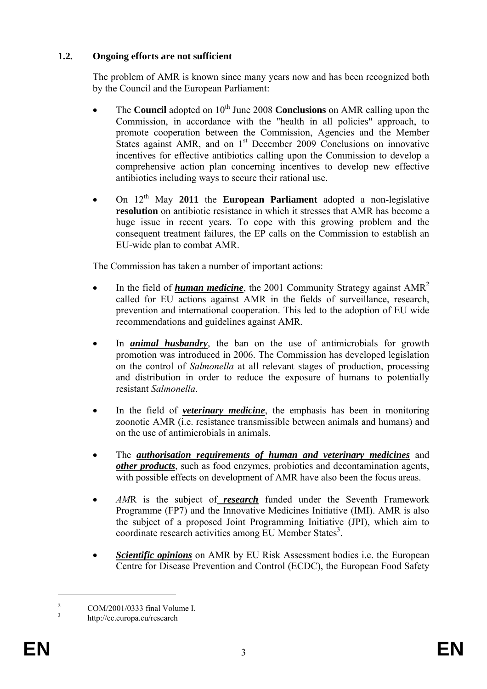# **1.2. Ongoing efforts are not sufficient**

The problem of AMR is known since many years now and has been recognized both by the Council and the European Parliament:

- The **Council** adopted on 10<sup>th</sup> June 2008 **Conclusions** on AMR calling upon the Commission, in accordance with the "health in all policies" approach, to promote cooperation between the Commission, Agencies and the Member States against AMR, and on  $1<sup>st</sup>$  December 2009 Conclusions on innovative incentives for effective antibiotics calling upon the Commission to develop a comprehensive action plan concerning incentives to develop new effective antibiotics including ways to secure their rational use.
- On 12th May **2011** the **European Parliament** adopted a non-legislative **resolution** on antibiotic resistance in which it stresses that AMR has become a huge issue in recent years. To cope with this growing problem and the consequent treatment failures, the EP calls on the Commission to establish an EU-wide plan to combat AMR.

The Commission has taken a number of important actions:

- In the field of *human medicine*, the 2001 Community Strategy against AMR2 called for EU actions against AMR in the fields of surveillance, research, prevention and international cooperation. This led to the adoption of EU wide recommendations and guidelines against AMR.
- In *animal husbandry*, the ban on the use of antimicrobials for growth promotion was introduced in 2006. The Commission has developed legislation on the control of *Salmonella* at all relevant stages of production, processing and distribution in order to reduce the exposure of humans to potentially resistant *Salmonella*.
- In the field of *veterinary medicine*, the emphasis has been in monitoring zoonotic AMR (i.e. resistance transmissible between animals and humans) and on the use of antimicrobials in animals.
- The *authorisation requirements of human and veterinary medicines* and *other products*, such as food enzymes, probiotics and decontamination agents, with possible effects on development of AMR have also been the focus areas.
- *AM*R is the subject of *research* funded under the Seventh Framework Programme (FP7) and the Innovative Medicines Initiative (IMI). AMR is also the subject of a proposed Joint Programming Initiative (JPI), which aim to coordinate research activities among EU Member States<sup>3</sup>.
- *Scientific opinions* on AMR by EU Risk Assessment bodies i.e. the European Centre for Disease Prevention and Control (ECDC), the European Food Safety

<u>.</u>

 $\overline{2}$ COM/2001/0333 final Volume I.

<sup>3</sup> http://ec.europa.eu/research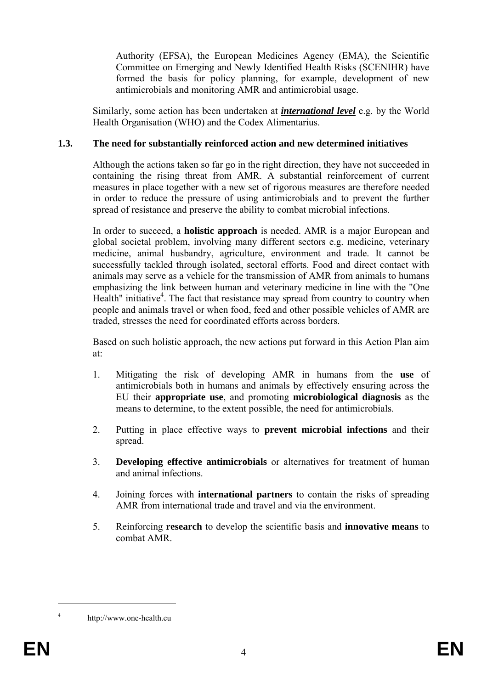Authority (EFSA), the European Medicines Agency (EMA), the Scientific Committee on Emerging and Newly Identified Health Risks (SCENIHR) have formed the basis for policy planning, for example, development of new antimicrobials and monitoring AMR and antimicrobial usage.

Similarly, some action has been undertaken at *international level* e.g. by the World Health Organisation (WHO) and the Codex Alimentarius.

## **1.3. The need for substantially reinforced action and new determined initiatives**

Although the actions taken so far go in the right direction, they have not succeeded in containing the rising threat from AMR. A substantial reinforcement of current measures in place together with a new set of rigorous measures are therefore needed in order to reduce the pressure of using antimicrobials and to prevent the further spread of resistance and preserve the ability to combat microbial infections.

In order to succeed, a **holistic approach** is needed. AMR is a major European and global societal problem, involving many different sectors e.g. medicine, veterinary medicine, animal husbandry, agriculture, environment and trade. It cannot be successfully tackled through isolated, sectoral efforts. Food and direct contact with animals may serve as a vehicle for the transmission of AMR from animals to humans emphasizing the link between human and veterinary medicine in line with the "One Health" initiative<sup>4</sup>. The fact that resistance may spread from country to country when people and animals travel or when food, feed and other possible vehicles of AMR are traded, stresses the need for coordinated efforts across borders.

Based on such holistic approach, the new actions put forward in this Action Plan aim at:

- 1. Mitigating the risk of developing AMR in humans from the **use** of antimicrobials both in humans and animals by effectively ensuring across the EU their **appropriate use**, and promoting **microbiological diagnosis** as the means to determine, to the extent possible, the need for antimicrobials.
- 2. Putting in place effective ways to **prevent microbial infections** and their spread.
- 3. **Developing effective antimicrobials** or alternatives for treatment of human and animal infections.
- 4. Joining forces with **international partners** to contain the risks of spreading AMR from international trade and travel and via the environment.
- 5. Reinforcing **research** to develop the scientific basis and **innovative means** to combat AMR.

1 4

http://www.one-health.eu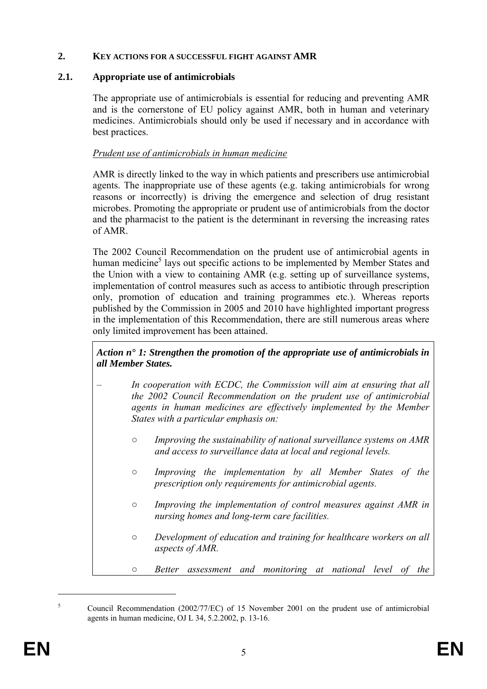### **2. KEY ACTIONS FOR A SUCCESSFUL FIGHT AGAINST AMR**

## **2.1. Appropriate use of antimicrobials**

The appropriate use of antimicrobials is essential for reducing and preventing AMR and is the cornerstone of EU policy against AMR, both in human and veterinary medicines. Antimicrobials should only be used if necessary and in accordance with best practices.

# *Prudent use of antimicrobials in human medicine*

AMR is directly linked to the way in which patients and prescribers use antimicrobial agents. The inappropriate use of these agents (e.g. taking antimicrobials for wrong reasons or incorrectly) is driving the emergence and selection of drug resistant microbes. Promoting the appropriate or prudent use of antimicrobials from the doctor and the pharmacist to the patient is the determinant in reversing the increasing rates of AMR.

The 2002 Council Recommendation on the prudent use of antimicrobial agents in human medicine<sup>5</sup> lays out specific actions to be implemented by Member States and the Union with a view to containing AMR (e.g. setting up of surveillance systems, implementation of control measures such as access to antibiotic through prescription only, promotion of education and training programmes etc.). Whereas reports published by the Commission in 2005 and 2010 have highlighted important progress in the implementation of this Recommendation, there are still numerous areas where only limited improvement has been attained.

*Action n° 1: Strengthen the promotion of the appropriate use of antimicrobials in all Member States.* 

- *In cooperation with ECDC, the Commission will aim at ensuring that all the 2002 Council Recommendation on the prudent use of antimicrobial agents in human medicines are effectively implemented by the Member States with a particular emphasis on:* 
	- *○ Improving the sustainability of national surveillance systems on AMR and access to surveillance data at local and regional levels.*
	- *○ Improving the implementation by all Member States of the prescription only requirements for antimicrobial agents.*
	- *○ Improving the implementation of control measures against AMR in nursing homes and long-term care facilities.*
	- *○ Development of education and training for healthcare workers on all aspects of AMR.*
	- *○ Better assessment and monitoring at national level of the*

<u>.</u>

<sup>5</sup> Council Recommendation (2002/77/EC) of 15 November 2001 on the prudent use of antimicrobial agents in human medicine, OJ L 34, 5.2.2002, p. 13-16.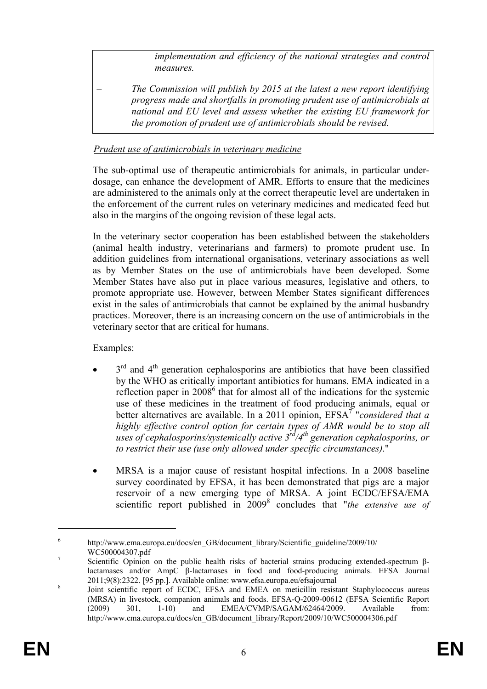*implementation and efficiency of the national strategies and control measures.* 

– *The Commission will publish by 2015 at the latest a new report identifying progress made and shortfalls in promoting prudent use of antimicrobials at national and EU level and assess whether the existing EU framework for the promotion of prudent use of antimicrobials should be revised.* 

# *Prudent use of antimicrobials in veterinary medicine*

The sub-optimal use of therapeutic antimicrobials for animals, in particular underdosage, can enhance the development of AMR. Efforts to ensure that the medicines are administered to the animals only at the correct therapeutic level are undertaken in the enforcement of the current rules on veterinary medicines and medicated feed but also in the margins of the ongoing revision of these legal acts.

In the veterinary sector cooperation has been established between the stakeholders (animal health industry, veterinarians and farmers) to promote prudent use. In addition guidelines from international organisations, veterinary associations as well as by Member States on the use of antimicrobials have been developed. Some Member States have also put in place various measures, legislative and others, to promote appropriate use. However, between Member States significant differences exist in the sales of antimicrobials that cannot be explained by the animal husbandry practices. Moreover, there is an increasing concern on the use of antimicrobials in the veterinary sector that are critical for humans.

Examples:

- $3<sup>rd</sup>$  and  $4<sup>th</sup>$  generation cephalosporins are antibiotics that have been classified by the WHO as critically important antibiotics for humans. EMA indicated in a reflection paper in  $2008^6$  that for almost all of the indications for the systemic use of these medicines in the treatment of food producing animals, equal or better alternatives are available. In a 2011 opinion, EFSA<sup>7</sup> "*considered that a highly effective control option for certain types of AMR would be to stop all uses of cephalosporins/systemically active 3rd/4th generation cephalosporins, or to restrict their use (use only allowed under specific circumstances)*."
- MRSA is a major cause of resistant hospital infections. In a 2008 baseline survey coordinated by EFSA, it has been demonstrated that pigs are a major reservoir of a new emerging type of MRSA. A joint ECDC/EFSA/EMA scientific report published in 2009<sup>8</sup> concludes that "*the extensive use of*

1

<sup>6</sup> http://www.ema.europa.eu/docs/en\_GB/document\_library/Scientific\_guideline/2009/10/ WC500004307.pdf

Scientific Opinion on the public health risks of bacterial strains producing extended-spectrum βlactamases and/or AmpC β-lactamases in food and food-producing animals. EFSA Journal 2011;9(8):2322. [95 pp.]. Available online: www.efsa.europa.eu/efsajournal 8

Joint scientific report of ECDC, EFSA and EMEA on meticillin resistant Staphylococcus aureus (MRSA) in livestock, companion animals and foods. EFSA-Q-2009-00612 (EFSA Scientific Report (2009) 301, 1-10) and EMEA/CVMP/SAGAM/62464/2009. Available from: http://www.ema.europa.eu/docs/en\_GB/document\_library/Report/2009/10/WC500004306.pdf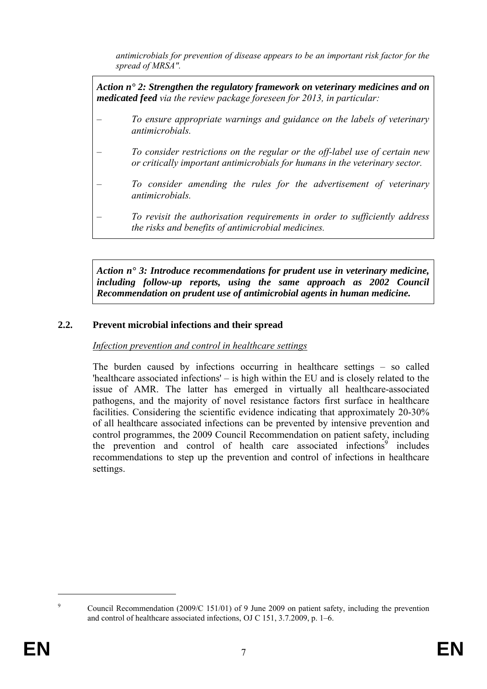*antimicrobials for prevention of disease appears to be an important risk factor for the spread of MRSA".* 

*Action n° 2: Strengthen the regulatory framework on veterinary medicines and on medicated feed via the review package foreseen for 2013, in particular:* 

- *To ensure appropriate warnings and guidance on the labels of veterinary antimicrobials.*
- *To consider restrictions on the regular or the off-label use of certain new or critically important antimicrobials for humans in the veterinary sector.*
- *To consider amending the rules for the advertisement of veterinary antimicrobials.*
- *To revisit the authorisation requirements in order to sufficiently address the risks and benefits of antimicrobial medicines.*

*Action n° 3: Introduce recommendations for prudent use in veterinary medicine, including follow-up reports, using the same approach as 2002 Council Recommendation on prudent use of antimicrobial agents in human medicine.*

# **2.2. Prevent microbial infections and their spread**

## *Infection prevention and control in healthcare settings*

The burden caused by infections occurring in healthcare settings – so called 'healthcare associated infections' – is high within the EU and is closely related to the issue of AMR. The latter has emerged in virtually all healthcare-associated pathogens, and the majority of novel resistance factors first surface in healthcare facilities. Considering the scientific evidence indicating that approximately 20-30% of all healthcare associated infections can be prevented by intensive prevention and control programmes, the 2009 Council Recommendation on patient safety, including the prevention and control of health care associated infections<sup>9</sup> includes recommendations to step up the prevention and control of infections in healthcare settings.

<u>.</u>  $\alpha$ 

Council Recommendation (2009/C 151/01) of 9 June 2009 on patient safety, including the prevention and control of healthcare associated infections, OJ C 151, 3.7.2009, p. 1–6.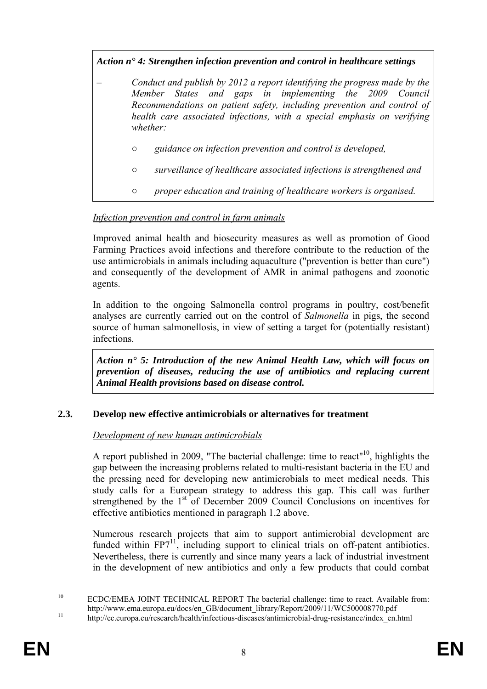# *Action n° 4: Strengthen infection prevention and control in healthcare settings*

- *Conduct and publish by 2012 a report identifying the progress made by the Member States and gaps in implementing the 2009 Council Recommendations on patient safety, including prevention and control of health care associated infections, with a special emphasis on verifying whether:*
	- *○ guidance on infection prevention and control is developed,*
	- *○ surveillance of healthcare associated infections is strengthened and*
	- *○ proper education and training of healthcare workers is organised.*

# *Infection prevention and control in farm animals*

Improved animal health and biosecurity measures as well as promotion of Good Farming Practices avoid infections and therefore contribute to the reduction of the use antimicrobials in animals including aquaculture ("prevention is better than cure") and consequently of the development of AMR in animal pathogens and zoonotic agents.

In addition to the ongoing Salmonella control programs in poultry, cost/benefit analyses are currently carried out on the control of *Salmonella* in pigs, the second source of human salmonellosis, in view of setting a target for (potentially resistant) infections.

*Action n° 5: Introduction of the new Animal Health Law, which will focus on prevention of diseases, reducing the use of antibiotics and replacing current Animal Health provisions based on disease control.* 

## **2.3. Develop new effective antimicrobials or alternatives for treatment**

## *Development of new human antimicrobials*

A report published in 2009, "The bacterial challenge: time to react"<sup>10</sup>, highlights the gap between the increasing problems related to multi-resistant bacteria in the EU and the pressing need for developing new antimicrobials to meet medical needs. This study calls for a European strategy to address this gap. This call was further strengthened by the 1<sup>st</sup> of December 2009 Council Conclusions on incentives for effective antibiotics mentioned in paragraph 1.2 above.

Numerous research projects that aim to support antimicrobial development are funded within FP7<sup>11</sup>, including support to clinical trials on off-patent antibiotics. Nevertheless, there is currently and since many years a lack of industrial investment in the development of new antibiotics and only a few products that could combat

1

<sup>&</sup>lt;sup>10</sup> ECDC/EMEA JOINT TECHNICAL REPORT The bacterial challenge: time to react. Available from: http://www.ema.europa.eu/docs/en\_GB/document\_library/Report/2009/11/WC500008770.pdf<br>http://ec.europa.eu/research/health/infectious-diseases/antimicrobial-drug-resistance/index\_en.html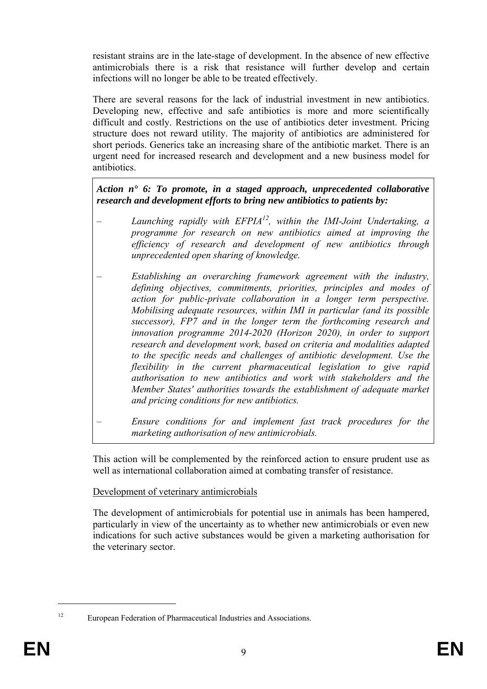resistant strains are in the late-stage of development. In the absence of new effective antimicrobials there is a risk that resistance will further develop and certain infections will no longer be able to be treated effectively.

There are several reasons for the lack of industrial investment in new antibiotics. Developing new, effective and safe antibiotics is more and more scientifically difficult and costly. Restrictions on the use of antibiotics deter investment. Pricing structure does not reward utility. The majority of antibiotics are administered for short periods. Generics take an increasing share of the antibiotic market. There is an urgent need for increased research and development and a new business model for antibiotics.

*Action n° 6: To promote, in a staged approach, unprecedented collaborative research and development efforts to bring new antibiotics to patients by:* 

- *Launching rapidly with EFPIA12, within the IMI-Joint Undertaking, a programme for research on new antibiotics aimed at improving the efficiency of research and development of new antibiotics through unprecedented open sharing of knowledge.*
- *Establishing an overarching framework agreement with the industry, defining objectives, commitments, priorities, principles and modes of action for public-private collaboration in a longer term perspective. Mobilising adequate resources, within IMI in particular (and its possible successor), FP7 and in the longer term the forthcoming research and innovation programme 2014-2020 (Horizon 2020), in order to support research and development work, based on criteria and modalities adapted to the specific needs and challenges of antibiotic development. Use the flexibility in the current pharmaceutical legislation to give rapid authorisation to new antibiotics and work with stakeholders and the Member States' authorities towards the establishment of adequate market and pricing conditions for new antibiotics.*

– *Ensure conditions for and implement fast track procedures for the marketing authorisation of new antimicrobials.* 

This action will be complemented by the reinforced action to ensure prudent use as well as international collaboration aimed at combating transfer of resistance.

Development of veterinary antimicrobials

The development of antimicrobials for potential use in animals has been hampered, particularly in view of the uncertainty as to whether new antimicrobials or even new indications for such active substances would be given a marketing authorisation for the veterinary sector.

<sup>1</sup> 

<sup>&</sup>lt;sup>12</sup> European Federation of Pharmaceutical Industries and Associations.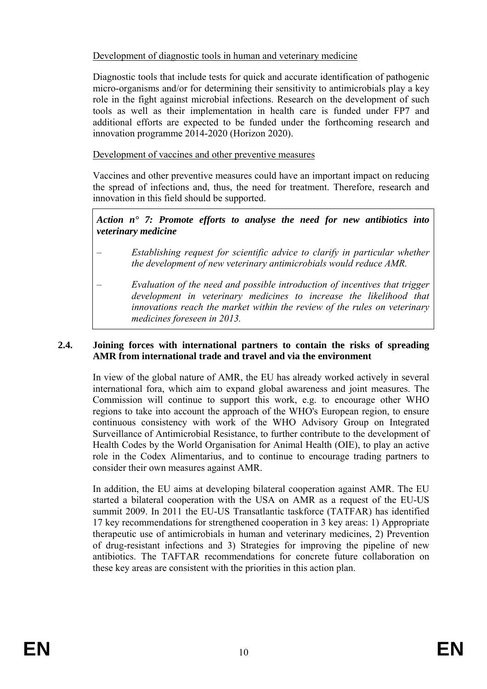# Development of diagnostic tools in human and veterinary medicine

Diagnostic tools that include tests for quick and accurate identification of pathogenic micro-organisms and/or for determining their sensitivity to antimicrobials play a key role in the fight against microbial infections. Research on the development of such tools as well as their implementation in health care is funded under FP7 and additional efforts are expected to be funded under the forthcoming research and innovation programme 2014-2020 (Horizon 2020).

## Development of vaccines and other preventive measures

Vaccines and other preventive measures could have an important impact on reducing the spread of infections and, thus, the need for treatment. Therefore, research and innovation in this field should be supported.

## *Action n° 7: Promote efforts to analyse the need for new antibiotics into veterinary medicine*

- *Establishing request for scientific advice to clarify in particular whether the development of new veterinary antimicrobials would reduce AMR.*
- *Evaluation of the need and possible introduction of incentives that trigger development in veterinary medicines to increase the likelihood that innovations reach the market within the review of the rules on veterinary medicines foreseen in 2013.*

### **2.4. Joining forces with international partners to contain the risks of spreading AMR from international trade and travel and via the environment**

In view of the global nature of AMR, the EU has already worked actively in several international fora, which aim to expand global awareness and joint measures. The Commission will continue to support this work, e.g. to encourage other WHO regions to take into account the approach of the WHO's European region, to ensure continuous consistency with work of the WHO Advisory Group on Integrated Surveillance of Antimicrobial Resistance, to further contribute to the development of Health Codes by the World Organisation for Animal Health (OIE), to play an active role in the Codex Alimentarius, and to continue to encourage trading partners to consider their own measures against AMR.

In addition, the EU aims at developing bilateral cooperation against AMR. The EU started a bilateral cooperation with the USA on AMR as a request of the EU-US summit 2009. In 2011 the EU-US Transatlantic taskforce (TATFAR) has identified 17 key recommendations for strengthened cooperation in 3 key areas: 1) Appropriate therapeutic use of antimicrobials in human and veterinary medicines, 2) Prevention of drug-resistant infections and 3) Strategies for improving the pipeline of new antibiotics. The TAFTAR recommendations for concrete future collaboration on these key areas are consistent with the priorities in this action plan.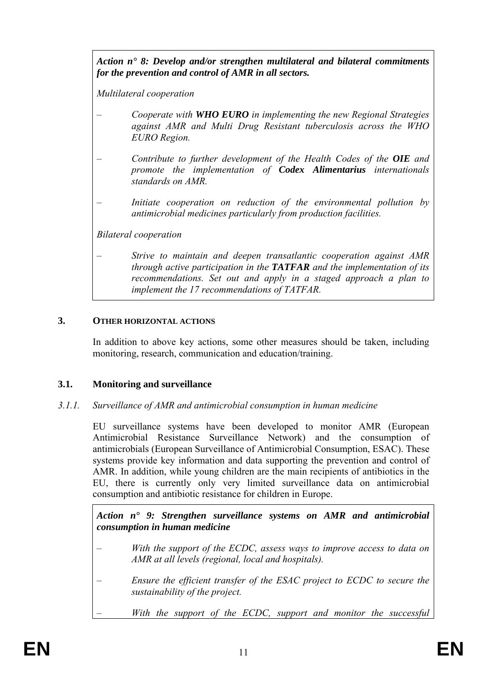*Action n° 8: Develop and/or strengthen multilateral and bilateral commitments for the prevention and control of AMR in all sectors.* 

*Multilateral cooperation* 

- *Cooperate with WHO EURO in implementing the new Regional Strategies against AMR and Multi Drug Resistant tuberculosis across the WHO EURO Region.*
- *Contribute to further development of the Health Codes of the OIE and promote the implementation of Codex Alimentarius internationals standards on AMR.*
- *Initiate cooperation on reduction of the environmental pollution by antimicrobial medicines particularly from production facilities.*

*Bilateral cooperation* 

### – *Strive to maintain and deepen transatlantic cooperation against AMR through active participation in the TATFAR and the implementation of its recommendations. Set out and apply in a staged approach a plan to implement the 17 recommendations of TATFAR.*

## **3. OTHER HORIZONTAL ACTIONS**

In addition to above key actions, some other measures should be taken, including monitoring, research, communication and education/training.

## **3.1. Monitoring and surveillance**

## *3.1.1. Surveillance of AMR and antimicrobial consumption in human medicine*

EU surveillance systems have been developed to monitor AMR (European Antimicrobial Resistance Surveillance Network) and the consumption of antimicrobials (European Surveillance of Antimicrobial Consumption, ESAC). These systems provide key information and data supporting the prevention and control of AMR. In addition, while young children are the main recipients of antibiotics in the EU, there is currently only very limited surveillance data on antimicrobial consumption and antibiotic resistance for children in Europe.

*Action n° 9: Strengthen surveillance systems on AMR and antimicrobial consumption in human medicine* 

- *With the support of the ECDC, assess ways to improve access to data on AMR at all levels (regional, local and hospitals).*
- *Ensure the efficient transfer of the ESAC project to ECDC to secure the sustainability of the project.*
- *With the support of the ECDC, support and monitor the successful*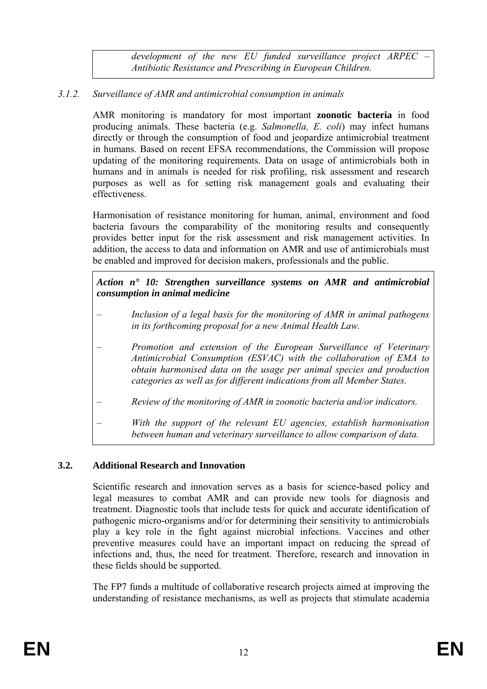*development of the new EU funded surveillance project ARPEC – Antibiotic Resistance and Prescribing in European Children.* 

# *3.1.2. Surveillance of AMR and antimicrobial consumption in animals*

AMR monitoring is mandatory for most important **zoonotic bacteria** in food producing animals. These bacteria (e.g. *Salmonella, E. coli*) may infect humans directly or through the consumption of food and jeopardize antimicrobial treatment in humans. Based on recent EFSA recommendations, the Commission will propose updating of the monitoring requirements. Data on usage of antimicrobials both in humans and in animals is needed for risk profiling, risk assessment and research purposes as well as for setting risk management goals and evaluating their effectiveness.

Harmonisation of resistance monitoring for human, animal, environment and food bacteria favours the comparability of the monitoring results and consequently provides better input for the risk assessment and risk management activities. In addition, the access to data and information on AMR and use of antimicrobials must be enabled and improved for decision makers, professionals and the public.

### *Action n° 10: Strengthen surveillance systems on AMR and antimicrobial consumption in animal medicine*

- *Inclusion of a legal basis for the monitoring of AMR in animal pathogens in its forthcoming proposal for a new Animal Health Law.*
- *Promotion and extension of the European Surveillance of Veterinary Antimicrobial Consumption (ESVAC) with the collaboration of EMA to obtain harmonised data on the usage per animal species and production categories as well as for different indications from all Member States.*
- *Review of the monitoring of AMR in zoonotic bacteria and/or indicators.*
- *With the support of the relevant EU agencies, establish harmonisation between human and veterinary surveillance to allow comparison of data.*

#### **3.2. Additional Research and Innovation**

Scientific research and innovation serves as a basis for science-based policy and legal measures to combat AMR and can provide new tools for diagnosis and treatment. Diagnostic tools that include tests for quick and accurate identification of pathogenic micro-organisms and/or for determining their sensitivity to antimicrobials play a key role in the fight against microbial infections. Vaccines and other preventive measures could have an important impact on reducing the spread of infections and, thus, the need for treatment. Therefore, research and innovation in these fields should be supported.

The FP7 funds a multitude of collaborative research projects aimed at improving the understanding of resistance mechanisms, as well as projects that stimulate academia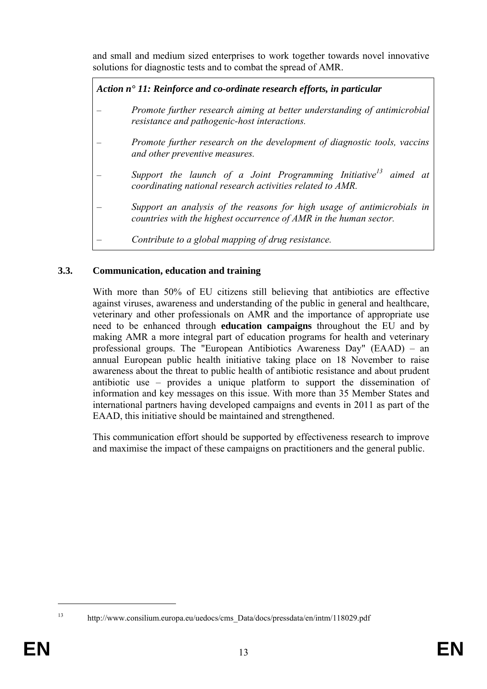and small and medium sized enterprises to work together towards novel innovative solutions for diagnostic tests and to combat the spread of AMR.

*Action n° 11: Reinforce and co-ordinate research efforts, in particular* 

– *Promote further research aiming at better understanding of antimicrobial resistance and pathogenic-host interactions.*  – *Promote further research on the development of diagnostic tools, vaccins and other preventive measures.* – *Support the launch of a Joint Programming Initiative13 aimed at coordinating national research activities related to AMR.* – *Support an analysis of the reasons for high usage of antimicrobials in countries with the highest occurrence of AMR in the human sector.* – *Contribute to a global mapping of drug resistance.*

# **3.3. Communication, education and training**

With more than 50% of EU citizens still believing that antibiotics are effective against viruses, awareness and understanding of the public in general and healthcare, veterinary and other professionals on AMR and the importance of appropriate use need to be enhanced through **education campaigns** throughout the EU and by making AMR a more integral part of education programs for health and veterinary professional groups. The "European Antibiotics Awareness Day" (EAAD) – an annual European public health initiative taking place on 18 November to raise awareness about the threat to public health of antibiotic resistance and about prudent antibiotic use – provides a unique platform to support the dissemination of information and key messages on this issue. With more than 35 Member States and international partners having developed campaigns and events in 2011 as part of the EAAD, this initiative should be maintained and strengthened.

This communication effort should be supported by effectiveness research to improve and maximise the impact of these campaigns on practitioners and the general public.

<sup>1</sup> 

<sup>13</sup> http://www.consilium.europa.eu/uedocs/cms\_Data/docs/pressdata/en/intm/118029.pdf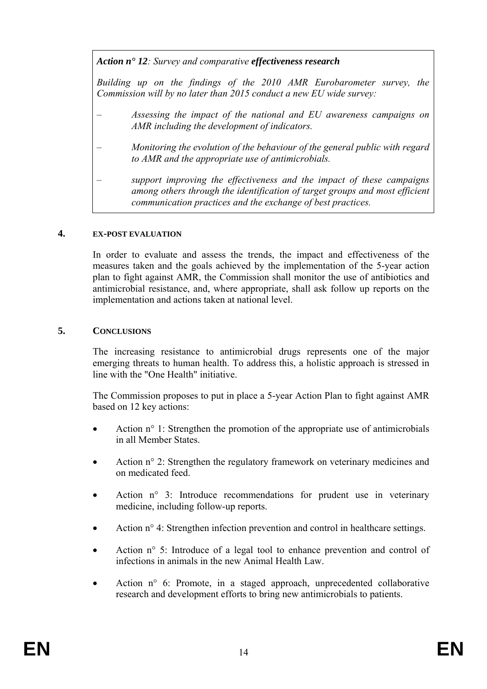*Action n° 12: Survey and comparative effectiveness research*

*Building up on the findings of the 2010 AMR Eurobarometer survey, the Commission will by no later than 2015 conduct a new EU wide survey:* 

- *Assessing the impact of the national and EU awareness campaigns on AMR including the development of indicators.*
- *Monitoring the evolution of the behaviour of the general public with regard to AMR and the appropriate use of antimicrobials.*
- *support improving the effectiveness and the impact of these campaigns among others through the identification of target groups and most efficient communication practices and the exchange of best practices.*

### **4. EX-POST EVALUATION**

In order to evaluate and assess the trends, the impact and effectiveness of the measures taken and the goals achieved by the implementation of the 5-year action plan to fight against AMR, the Commission shall monitor the use of antibiotics and antimicrobial resistance, and, where appropriate, shall ask follow up reports on the implementation and actions taken at national level.

## **5. CONCLUSIONS**

The increasing resistance to antimicrobial drugs represents one of the major emerging threats to human health. To address this, a holistic approach is stressed in line with the "One Health" initiative.

The Commission proposes to put in place a 5-year Action Plan to fight against AMR based on 12 key actions:

- Action n<sup>o</sup> 1: Strengthen the promotion of the appropriate use of antimicrobials in all Member States.
- Action n° 2: Strengthen the regulatory framework on veterinary medicines and on medicated feed.
- Action n° 3: Introduce recommendations for prudent use in veterinary medicine, including follow-up reports.
- Action n<sup>o</sup> 4: Strengthen infection prevention and control in healthcare settings.
- Action n° 5: Introduce of a legal tool to enhance prevention and control of infections in animals in the new Animal Health Law.
- Action n° 6: Promote, in a staged approach, unprecedented collaborative research and development efforts to bring new antimicrobials to patients.